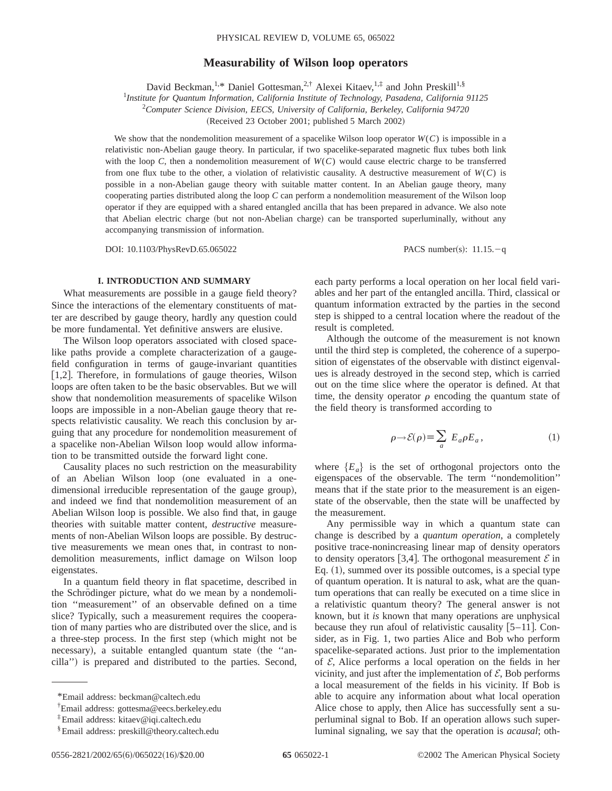# **Measurability of Wilson loop operators**

David Beckman,<sup>1,\*</sup> Daniel Gottesman,<sup>2,†</sup> Alexei Kitaev,<sup>1,‡</sup> and John Preskill<sup>1,§</sup>

1 *Institute for Quantum Information, California Institute of Technology, Pasadena, California 91125*

2 *Computer Science Division, EECS, University of California, Berkeley, California 94720*

(Received 23 October 2001; published 5 March 2002)

We show that the nondemolition measurement of a spacelike Wilson loop operator  $W(C)$  is impossible in a relativistic non-Abelian gauge theory. In particular, if two spacelike-separated magnetic flux tubes both link with the loop *C*, then a nondemolition measurement of *W*(*C*) would cause electric charge to be transferred from one flux tube to the other, a violation of relativistic causality. A destructive measurement of  $W(C)$  is possible in a non-Abelian gauge theory with suitable matter content. In an Abelian gauge theory, many cooperating parties distributed along the loop *C* can perform a nondemolition measurement of the Wilson loop operator if they are equipped with a shared entangled ancilla that has been prepared in advance. We also note that Abelian electric charge (but not non-Abelian charge) can be transported superluminally, without any accompanying transmission of information.

DOI: 10.1103/PhysRevD.65.065022 PACS number(s): 11.15.-q

### **I. INTRODUCTION AND SUMMARY**

What measurements are possible in a gauge field theory? Since the interactions of the elementary constituents of matter are described by gauge theory, hardly any question could be more fundamental. Yet definitive answers are elusive.

The Wilson loop operators associated with closed spacelike paths provide a complete characterization of a gaugefield configuration in terms of gauge-invariant quantities  $[1,2]$ . Therefore, in formulations of gauge theories, Wilson loops are often taken to be the basic observables. But we will show that nondemolition measurements of spacelike Wilson loops are impossible in a non-Abelian gauge theory that respects relativistic causality. We reach this conclusion by arguing that any procedure for nondemolition measurement of a spacelike non-Abelian Wilson loop would allow information to be transmitted outside the forward light cone.

Causality places no such restriction on the measurability of an Abelian Wilson loop (one evaluated in a onedimensional irreducible representation of the gauge group), and indeed we find that nondemolition measurement of an Abelian Wilson loop is possible. We also find that, in gauge theories with suitable matter content, *destructive* measurements of non-Abelian Wilson loops are possible. By destructive measurements we mean ones that, in contrast to nondemolition measurements, inflict damage on Wilson loop eigenstates.

In a quantum field theory in flat spacetime, described in the Schrödinger picture, what do we mean by a nondemolition ''measurement'' of an observable defined on a time slice? Typically, such a measurement requires the cooperation of many parties who are distributed over the slice, and is a three-step process. In the first step (which might not be necessary), a suitable entangled quantum state (the "ancilla") is prepared and distributed to the parties. Second,

each party performs a local operation on her local field variables and her part of the entangled ancilla. Third, classical or quantum information extracted by the parties in the second step is shipped to a central location where the readout of the result is completed.

Although the outcome of the measurement is not known until the third step is completed, the coherence of a superposition of eigenstates of the observable with distinct eigenvalues is already destroyed in the second step, which is carried out on the time slice where the operator is defined. At that time, the density operator  $\rho$  encoding the quantum state of the field theory is transformed according to

$$
\rho \rightarrow \mathcal{E}(\rho) \equiv \sum_{a} E_{a} \rho E_{a}, \qquad (1)
$$

where  ${E_a}$  is the set of orthogonal projectors onto the eigenspaces of the observable. The term ''nondemolition'' means that if the state prior to the measurement is an eigenstate of the observable, then the state will be unaffected by the measurement.

Any permissible way in which a quantum state can change is described by a *quantum operation*, a completely positive trace-nonincreasing linear map of density operators to density operators [3,4]. The orthogonal measurement  $\mathcal E$  in Eq.  $(1)$ , summed over its possible outcomes, is a special type of quantum operation. It is natural to ask, what are the quantum operations that can really be executed on a time slice in a relativistic quantum theory? The general answer is not known, but it *is* known that many operations are unphysical because they run afoul of relativistic causality  $[5-11]$ . Consider, as in Fig. 1, two parties Alice and Bob who perform spacelike-separated actions. Just prior to the implementation of  $\mathcal E$ , Alice performs a local operation on the fields in her vicinity, and just after the implementation of  $\mathcal{E}$ , Bob performs a local measurement of the fields in his vicinity. If Bob is able to acquire any information about what local operation Alice chose to apply, then Alice has successfully sent a superluminal signal to Bob. If an operation allows such superluminal signaling, we say that the operation is *acausal*; oth-

<sup>\*</sup>Email address: beckman@caltech.edu

<sup>†</sup> Email address: gottesma@eecs.berkeley.edu

<sup>‡</sup>Email address: kitaev@iqi.caltech.edu

<sup>§</sup>Email address: preskill@theory.caltech.edu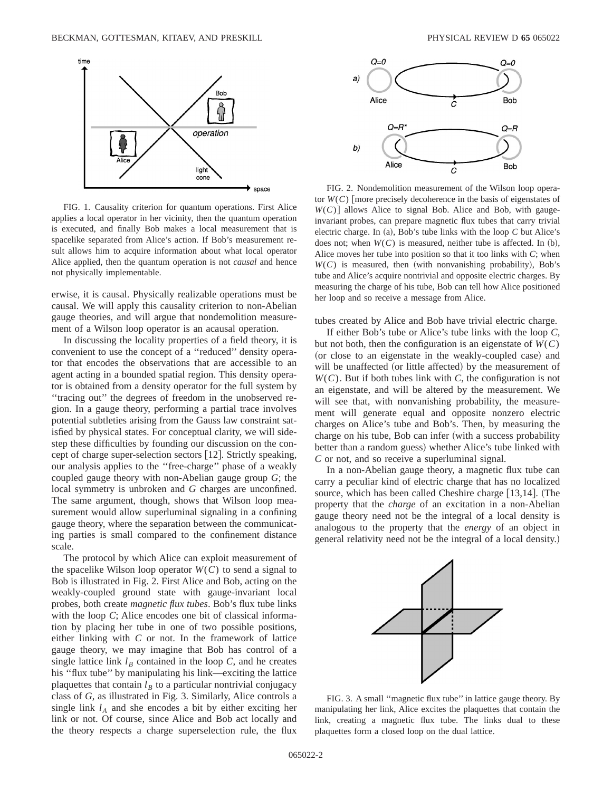

FIG. 1. Causality criterion for quantum operations. First Alice applies a local operator in her vicinity, then the quantum operation is executed, and finally Bob makes a local measurement that is spacelike separated from Alice's action. If Bob's measurement result allows him to acquire information about what local operator Alice applied, then the quantum operation is not *causal* and hence not physically implementable.

erwise, it is causal. Physically realizable operations must be causal. We will apply this causality criterion to non-Abelian gauge theories, and will argue that nondemolition measurement of a Wilson loop operator is an acausal operation.

In discussing the locality properties of a field theory, it is convenient to use the concept of a ''reduced'' density operator that encodes the observations that are accessible to an agent acting in a bounded spatial region. This density operator is obtained from a density operator for the full system by ''tracing out'' the degrees of freedom in the unobserved region. In a gauge theory, performing a partial trace involves potential subtleties arising from the Gauss law constraint satisfied by physical states. For conceptual clarity, we will sidestep these difficulties by founding our discussion on the concept of charge super-selection sectors [12]. Strictly speaking, our analysis applies to the ''free-charge'' phase of a weakly coupled gauge theory with non-Abelian gauge group *G*; the local symmetry is unbroken and *G* charges are unconfined. The same argument, though, shows that Wilson loop measurement would allow superluminal signaling in a confining gauge theory, where the separation between the communicating parties is small compared to the confinement distance scale.

The protocol by which Alice can exploit measurement of the spacelike Wilson loop operator  $W(C)$  to send a signal to Bob is illustrated in Fig. 2. First Alice and Bob, acting on the weakly-coupled ground state with gauge-invariant local probes, both create *magnetic flux tubes*. Bob's flux tube links with the loop *C*; Alice encodes one bit of classical information by placing her tube in one of two possible positions, either linking with *C* or not. In the framework of lattice gauge theory, we may imagine that Bob has control of a single lattice link  $l_B$  contained in the loop  $C$ , and he creates his "flux tube" by manipulating his link—exciting the lattice plaquettes that contain  $l_B$  to a particular nontrivial conjugacy class of *G*, as illustrated in Fig. 3. Similarly, Alice controls a single link  $l_A$  and she encodes a bit by either exciting her link or not. Of course, since Alice and Bob act locally and the theory respects a charge superselection rule, the flux



FIG. 2. Nondemolition measurement of the Wilson loop operator  $W(C)$  [more precisely decoherence in the basis of eigenstates of  $W(C)$  allows Alice to signal Bob. Alice and Bob, with gaugeinvariant probes, can prepare magnetic flux tubes that carry trivial electric charge. In  $(a)$ , Bob's tube links with the loop  $C$  but Alice's does not; when  $W(C)$  is measured, neither tube is affected. In (b), Alice moves her tube into position so that it too links with *C*; when  $W(C)$  is measured, then (with nonvanishing probability), Bob's tube and Alice's acquire nontrivial and opposite electric charges. By measuring the charge of his tube, Bob can tell how Alice positioned her loop and so receive a message from Alice.

tubes created by Alice and Bob have trivial electric charge.

If either Bob's tube or Alice's tube links with the loop *C*, but not both, then the configuration is an eigenstate of  $W(C)$ (or close to an eigenstate in the weakly-coupled case) and will be unaffected (or little affected) by the measurement of *W*(*C*). But if both tubes link with *C*, the configuration is not an eigenstate, and will be altered by the measurement. We will see that, with nonvanishing probability, the measurement will generate equal and opposite nonzero electric charges on Alice's tube and Bob's. Then, by measuring the charge on his tube, Bob can infer (with a success probability better than a random guess) whether Alice's tube linked with *C* or not, and so receive a superluminal signal.

In a non-Abelian gauge theory, a magnetic flux tube can carry a peculiar kind of electric charge that has no localized source, which has been called Cheshire charge  $[13,14]$ . (The property that the *charge* of an excitation in a non-Abelian gauge theory need not be the integral of a local density is analogous to the property that the *energy* of an object in general relativity need not be the integral of a local density.)



FIG. 3. A small ''magnetic flux tube'' in lattice gauge theory. By manipulating her link, Alice excites the plaquettes that contain the link, creating a magnetic flux tube. The links dual to these plaquettes form a closed loop on the dual lattice.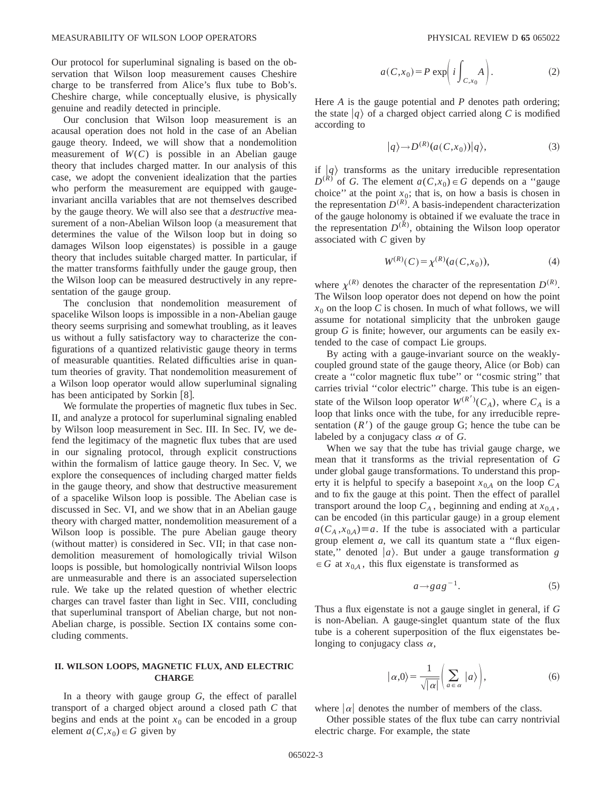Our protocol for superluminal signaling is based on the observation that Wilson loop measurement causes Cheshire charge to be transferred from Alice's flux tube to Bob's. Cheshire charge, while conceptually elusive, is physically genuine and readily detected in principle.

Our conclusion that Wilson loop measurement is an acausal operation does not hold in the case of an Abelian gauge theory. Indeed, we will show that a nondemolition measurement of  $W(C)$  is possible in an Abelian gauge theory that includes charged matter. In our analysis of this case, we adopt the convenient idealization that the parties who perform the measurement are equipped with gaugeinvariant ancilla variables that are not themselves described by the gauge theory. We will also see that a *destructive* measurement of a non-Abelian Wilson loop (a measurement that determines the value of the Wilson loop but in doing so damages Wilson loop eigenstates) is possible in a gauge theory that includes suitable charged matter. In particular, if the matter transforms faithfully under the gauge group, then the Wilson loop can be measured destructively in any representation of the gauge group.

The conclusion that nondemolition measurement of spacelike Wilson loops is impossible in a non-Abelian gauge theory seems surprising and somewhat troubling, as it leaves us without a fully satisfactory way to characterize the configurations of a quantized relativistic gauge theory in terms of measurable quantities. Related difficulties arise in quantum theories of gravity. That nondemolition measurement of a Wilson loop operator would allow superluminal signaling has been anticipated by Sorkin  $[8]$ .

We formulate the properties of magnetic flux tubes in Sec. II, and analyze a protocol for superluminal signaling enabled by Wilson loop measurement in Sec. III. In Sec. IV, we defend the legitimacy of the magnetic flux tubes that are used in our signaling protocol, through explicit constructions within the formalism of lattice gauge theory. In Sec. V, we explore the consequences of including charged matter fields in the gauge theory, and show that destructive measurement of a spacelike Wilson loop is possible. The Abelian case is discussed in Sec. VI, and we show that in an Abelian gauge theory with charged matter, nondemolition measurement of a Wilson loop is possible. The pure Abelian gauge theory (without matter) is considered in Sec. VII; in that case nondemolition measurement of homologically trivial Wilson loops is possible, but homologically nontrivial Wilson loops are unmeasurable and there is an associated superselection rule. We take up the related question of whether electric charges can travel faster than light in Sec. VIII, concluding that superluminal transport of Abelian charge, but not non-Abelian charge, is possible. Section IX contains some concluding comments.

# **II. WILSON LOOPS, MAGNETIC FLUX, AND ELECTRIC CHARGE**

In a theory with gauge group *G*, the effect of parallel transport of a charged object around a closed path *C* that begins and ends at the point  $x_0$  can be encoded in a group element  $a(C, x_0) \in G$  given by

$$
a(C, x_0) = P \exp\bigg(i \int_{C, x_0} A\bigg). \tag{2}
$$

Here *A* is the gauge potential and *P* denotes path ordering; the state  $|q\rangle$  of a charged object carried along *C* is modified according to

$$
|q\rangle \rightarrow D^{(R)}(a(C,x_0))|q\rangle, \tag{3}
$$

if  $|q\rangle$  transforms as the unitary irreducible representation  $D^{(R)}$  of *G*. The element  $a(C, x_0) \in G$  depends on a "gauge" choice" at the point  $x_0$ ; that is, on how a basis is chosen in the representation  $D^{(R)}$ . A basis-independent characterization of the gauge holonomy is obtained if we evaluate the trace in the representation  $D^{(R)}$ , obtaining the Wilson loop operator associated with *C* given by

$$
W^{(R)}(C) = \chi^{(R)}(a(C, x_0)),
$$
\n(4)

where  $\chi^{(R)}$  denotes the character of the representation  $D^{(R)}$ . The Wilson loop operator does not depend on how the point  $x_0$  on the loop *C* is chosen. In much of what follows, we will assume for notational simplicity that the unbroken gauge group *G* is finite; however, our arguments can be easily extended to the case of compact Lie groups.

By acting with a gauge-invariant source on the weaklycoupled ground state of the gauge theory, Alice (or Bob) can create a ''color magnetic flux tube'' or ''cosmic string'' that carries trivial ''color electric'' charge. This tube is an eigenstate of the Wilson loop operator  $W^{(R')}(C_A)$ , where  $C_A$  is a loop that links once with the tube, for any irreducible representation  $(R)$  of the gauge group G; hence the tube can be labeled by a conjugacy class  $\alpha$  of *G*.

When we say that the tube has trivial gauge charge, we mean that it transforms as the trivial representation of *G* under global gauge transformations. To understand this property it is helpful to specify a basepoint  $x_{0,A}$  on the loop  $C_A$ and to fix the gauge at this point. Then the effect of parallel transport around the loop  $C_A$ , beginning and ending at  $x_{0A}$ , can be encoded (in this particular gauge) in a group element  $a(C_A, x_{0A}) \equiv a$ . If the tube is associated with a particular group element *a*, we call its quantum state a ''flux eigenstate," denoted  $|a\rangle$ . But under a gauge transformation *g*  $\in$  *G* at  $x_{0,A}$ , this flux eigenstate is transformed as

$$
a \rightarrow g a g^{-1}.
$$
 (5)

Thus a flux eigenstate is not a gauge singlet in general, if *G* is non-Abelian. A gauge-singlet quantum state of the flux tube is a coherent superposition of the flux eigenstates belonging to conjugacy class  $\alpha$ ,

$$
|\alpha,0\rangle = \frac{1}{\sqrt{|\alpha|}} \left(\sum_{a \in \alpha} |a\rangle\right),\tag{6}
$$

where  $|\alpha|$  denotes the number of members of the class.

Other possible states of the flux tube can carry nontrivial electric charge. For example, the state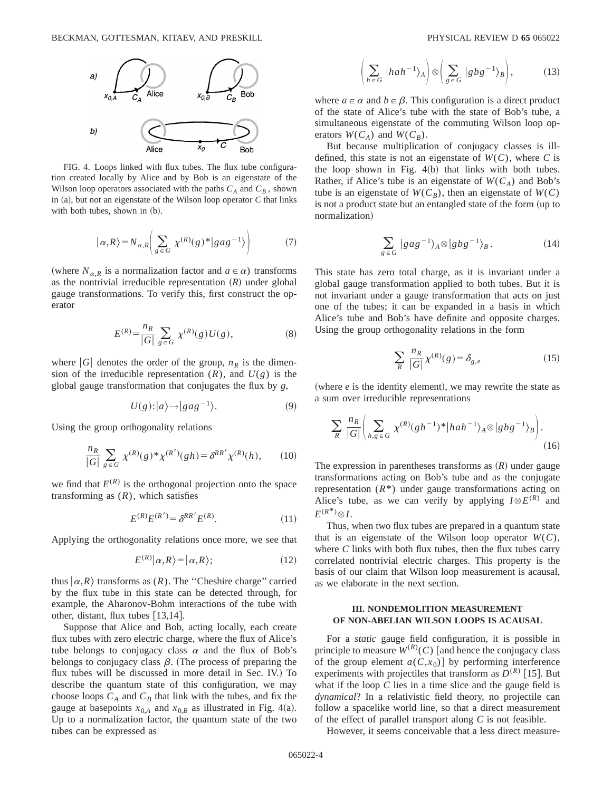

FIG. 4. Loops linked with flux tubes. The flux tube configuration created locally by Alice and by Bob is an eigenstate of the Wilson loop operators associated with the paths  $C_A$  and  $C_B$ , shown in  $(a)$ , but not an eigenstate of the Wilson loop operator  $C$  that links with both tubes, shown in (b).

$$
|\alpha, R\rangle = N_{\alpha, R} \bigg( \sum_{g \in G} \chi^{(R)}(g)^* |gag^{-1}\rangle \bigg) \tag{7}
$$

(where  $N_{\alpha,R}$  is a normalization factor and  $a \in \alpha$ ) transforms as the nontrivial irreducible representation  $(R)$  under global gauge transformations. To verify this, first construct the operator

$$
E^{(R)} = \frac{n_R}{|G|} \sum_{g \in G} \chi^{(R)}(g) U(g), \tag{8}
$$

where  $|G|$  denotes the order of the group,  $n_R$  is the dimension of the irreducible representation  $(R)$ , and  $U(g)$  is the global gauge transformation that conjugates the flux by *g*,

$$
U(g):|a\rangle \rightarrow |gag^{-1}\rangle. \tag{9}
$$

Using the group orthogonality relations

$$
\frac{n_R}{|G|} \sum_{g \in G} \chi^{(R)}(g)^* \chi^{(R')}(gh) = \delta^{RR'} \chi^{(R)}(h), \qquad (10)
$$

we find that  $E^{(R)}$  is the orthogonal projection onto the space transforming as (*R*), which satisfies

$$
E^{(R)}E^{(R')} = \delta^{RR'}E^{(R)}.
$$
\n
$$
(11)
$$

Applying the orthogonality relations once more, we see that

$$
E^{(R)}|\alpha,\mathbb{R}\rangle = |\alpha,\mathbb{R}\rangle; \tag{12}
$$

thus  $\ket{\alpha, R}$  transforms as  $(R)$ . The "Cheshire charge" carried by the flux tube in this state can be detected through, for example, the Aharonov-Bohm interactions of the tube with other, distant, flux tubes  $\lceil 13,14 \rceil$ .

Suppose that Alice and Bob, acting locally, each create flux tubes with zero electric charge, where the flux of Alice's tube belongs to conjugacy class  $\alpha$  and the flux of Bob's belongs to conjugacy class  $\beta$ . (The process of preparing the flux tubes will be discussed in more detail in Sec. IV.) To describe the quantum state of this configuration, we may choose loops  $C_A$  and  $C_B$  that link with the tubes, and fix the gauge at basepoints  $x_{0,A}$  and  $x_{0,B}$  as illustrated in Fig. 4(a). Up to a normalization factor, the quantum state of the two tubes can be expressed as

$$
\left(\sum_{h\in G} |hah^{-1}\rangle_A\right) \otimes \left(\sum_{g\in G} |gbg^{-1}\rangle_B\right),\tag{13}
$$

where  $a \in \alpha$  and  $b \in \beta$ . This configuration is a direct product of the state of Alice's tube with the state of Bob's tube, a simultaneous eigenstate of the commuting Wilson loop operators  $W(C_A)$  and  $W(C_B)$ .

But because multiplication of conjugacy classes is illdefined, this state is not an eigenstate of  $W(C)$ , where *C* is the loop shown in Fig.  $4(b)$  that links with both tubes. Rather, if Alice's tube is an eigenstate of  $W(C_A)$  and Bob's tube is an eigenstate of  $W(C_B)$ , then an eigenstate of  $W(C)$ is not a product state but an entangled state of the form (up to normalization)

$$
\sum_{g \in G} |gag^{-1}\rangle_A \otimes |gbg^{-1}\rangle_B. \tag{14}
$$

This state has zero total charge, as it is invariant under a global gauge transformation applied to both tubes. But it is not invariant under a gauge transformation that acts on just one of the tubes; it can be expanded in a basis in which Alice's tube and Bob's have definite and opposite charges. Using the group orthogonality relations in the form

$$
\sum_{R} \frac{n_R}{|G|} \chi^{(R)}(g) = \delta_{g,e} \tag{15}
$$

(where  $e$  is the identity element), we may rewrite the state as a sum over irreducible representations

$$
\sum_{R} \frac{n_R}{|G|} \left( \sum_{h,g \in G} \chi^{(R)}(gh^{-1})^* |hah^{-1}\rangle_A \otimes |gbg^{-1}\rangle_B \right). \tag{16}
$$

The expression in parentheses transforms as  $(R)$  under gauge transformations acting on Bob's tube and as the conjugate representation  $(R^*)$  under gauge transformations acting on Alice's tube, as we can verify by applying  $I \otimes E^{(R)}$  and  $E^{(R^*)}\otimes I$ .

Thus, when two flux tubes are prepared in a quantum state that is an eigenstate of the Wilson loop operator  $W(C)$ , where *C* links with both flux tubes, then the flux tubes carry correlated nontrivial electric charges. This property is the basis of our claim that Wilson loop measurement is acausal, as we elaborate in the next section.

# **III. NONDEMOLITION MEASUREMENT OF NON-ABELIAN WILSON LOOPS IS ACAUSAL**

For a *static* gauge field configuration, it is possible in principle to measure  $W^{(R)}(C)$  [and hence the conjugacy class of the group element  $a(C, x_0)$  by performing interference experiments with projectiles that transform as  $D^{(R)}$  [15]. But what if the loop *C* lies in a time slice and the gauge field is *dynamical*? In a relativistic field theory, no projectile can follow a spacelike world line, so that a direct measurement of the effect of parallel transport along *C* is not feasible.

However, it seems conceivable that a less direct measure-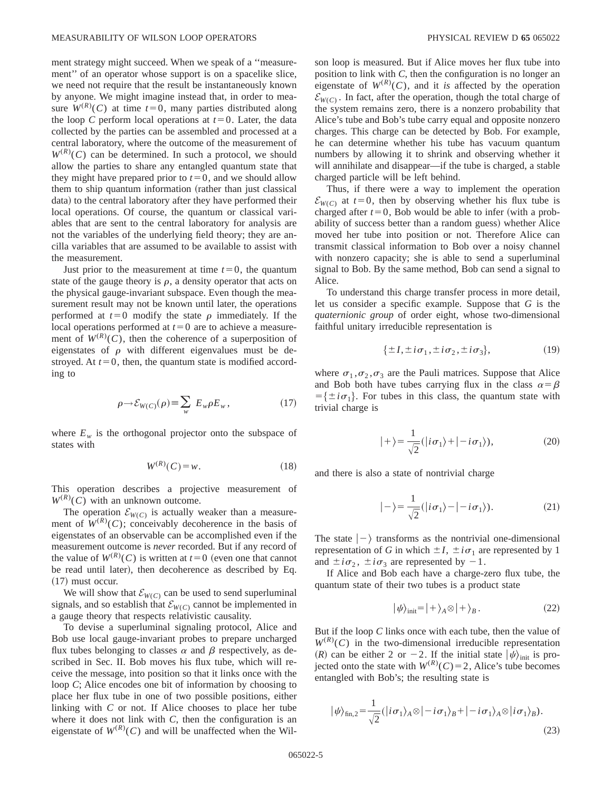ment strategy might succeed. When we speak of a ''measurement'' of an operator whose support is on a spacelike slice, we need not require that the result be instantaneously known by anyone. We might imagine instead that, in order to measure  $W^{(R)}(C)$  at time  $t=0$ , many parties distributed along the loop *C* perform local operations at  $t=0$ . Later, the data collected by the parties can be assembled and processed at a central laboratory, where the outcome of the measurement of  $W^{(R)}(C)$  can be determined. In such a protocol, we should allow the parties to share any entangled quantum state that they might have prepared prior to  $t=0$ , and we should allow them to ship quantum information (rather than just classical data) to the central laboratory after they have performed their local operations. Of course, the quantum or classical variables that are sent to the central laboratory for analysis are not the variables of the underlying field theory; they are ancilla variables that are assumed to be available to assist with the measurement.

Just prior to the measurement at time  $t=0$ , the quantum state of the gauge theory is  $\rho$ , a density operator that acts on the physical gauge-invariant subspace. Even though the measurement result may not be known until later, the operations performed at  $t=0$  modify the state  $\rho$  immediately. If the local operations performed at  $t=0$  are to achieve a measurement of  $W^{(R)}(C)$ , then the coherence of a superposition of eigenstates of  $\rho$  with different eigenvalues must be destroyed. At  $t=0$ , then, the quantum state is modified according to

$$
\rho \to \mathcal{E}_{W(C)}(\rho) \equiv \sum_{w} E_{w} \rho E_{w}, \qquad (17)
$$

where  $E_w$  is the orthogonal projector onto the subspace of states with

$$
W^{(R)}(C) = w.\t\t(18)
$$

This operation describes a projective measurement of  $W^{(R)}(C)$  with an unknown outcome.

The operation  $\mathcal{E}_{W(C)}$  is actually weaker than a measurement of  $W^{(R)}(C)$ ; conceivably decoherence in the basis of eigenstates of an observable can be accomplished even if the measurement outcome is *never* recorded. But if any record of the value of  $W^{(R)}(C)$  is written at  $t=0$  (even one that cannot be read until later), then decoherence as described by Eq.  $(17)$  must occur.

We will show that  $\mathcal{E}_{W(C)}$  can be used to send superluminal signals, and so establish that  $\mathcal{E}_{W(C)}$  cannot be implemented in a gauge theory that respects relativistic causality.

To devise a superluminal signaling protocol, Alice and Bob use local gauge-invariant probes to prepare uncharged flux tubes belonging to classes  $\alpha$  and  $\beta$  respectively, as described in Sec. II. Bob moves his flux tube, which will receive the message, into position so that it links once with the loop *C*; Alice encodes one bit of information by choosing to place her flux tube in one of two possible positions, either linking with *C* or not. If Alice chooses to place her tube where it does not link with *C*, then the configuration is an eigenstate of  $W^{(R)}(C)$  and will be unaffected when the Wilson loop is measured. But if Alice moves her flux tube into position to link with *C*, then the configuration is no longer an eigenstate of  $W^{(R)}(C)$ , and it *is* affected by the operation  $\mathcal{E}_{W(C)}$ . In fact, after the operation, though the total charge of the system remains zero, there is a nonzero probability that Alice's tube and Bob's tube carry equal and opposite nonzero charges. This charge can be detected by Bob. For example, he can determine whether his tube has vacuum quantum numbers by allowing it to shrink and observing whether it will annihilate and disappear—if the tube is charged, a stable charged particle will be left behind.

Thus, if there were a way to implement the operation  $\mathcal{E}_{W(C)}$  at  $t=0$ , then by observing whether his flux tube is charged after  $t=0$ , Bob would be able to infer (with a probability of success better than a random guess) whether Alice moved her tube into position or not. Therefore Alice can transmit classical information to Bob over a noisy channel with nonzero capacity; she is able to send a superluminal signal to Bob. By the same method, Bob can send a signal to Alice.

To understand this charge transfer process in more detail, let us consider a specific example. Suppose that *G* is the *quaternionic group* of order eight, whose two-dimensional faithful unitary irreducible representation is

$$
\{\pm I, \pm i\sigma_1, \pm i\sigma_2, \pm i\sigma_3\},\tag{19}
$$

where  $\sigma_1, \sigma_2, \sigma_3$  are the Pauli matrices. Suppose that Alice and Bob both have tubes carrying flux in the class  $\alpha = \beta$  $=\{\pm i\sigma_1\}$ . For tubes in this class, the quantum state with trivial charge is

$$
|+\rangle = \frac{1}{\sqrt{2}}(|i\sigma_1\rangle + | -i\sigma_1\rangle),
$$
 (20)

and there is also a state of nontrivial charge

$$
|-\rangle = \frac{1}{\sqrt{2}}(|i\sigma_1\rangle - | -i\sigma_1\rangle). \tag{21}
$$

The state  $\vert - \rangle$  transforms as the nontrivial one-dimensional representation of *G* in which  $\pm I$ ,  $\pm i\sigma_1$  are represented by 1 and  $\pm i\sigma_2$ ,  $\pm i\sigma_3$  are represented by -1.

If Alice and Bob each have a charge-zero flux tube, the quantum state of their two tubes is a product state

$$
|\psi\rangle_{\text{init}} = |+\rangle_A \otimes |+\rangle_B. \tag{22}
$$

But if the loop *C* links once with each tube, then the value of  $W^{(R)}(C)$  in the two-dimensional irreducible representation  $(R)$  can be either 2 or -2. If the initial state  $|\psi\rangle$ <sub>init</sub> is projected onto the state with  $W^{(R)}(C) = 2$ , Alice's tube becomes entangled with Bob's; the resulting state is

$$
|\psi\rangle_{\text{fin},2} = \frac{1}{\sqrt{2}} (|i\sigma_1\rangle_A \otimes | -i\sigma_1\rangle_B + | -i\sigma_1\rangle_A \otimes |i\sigma_1\rangle_B).
$$
\n(23)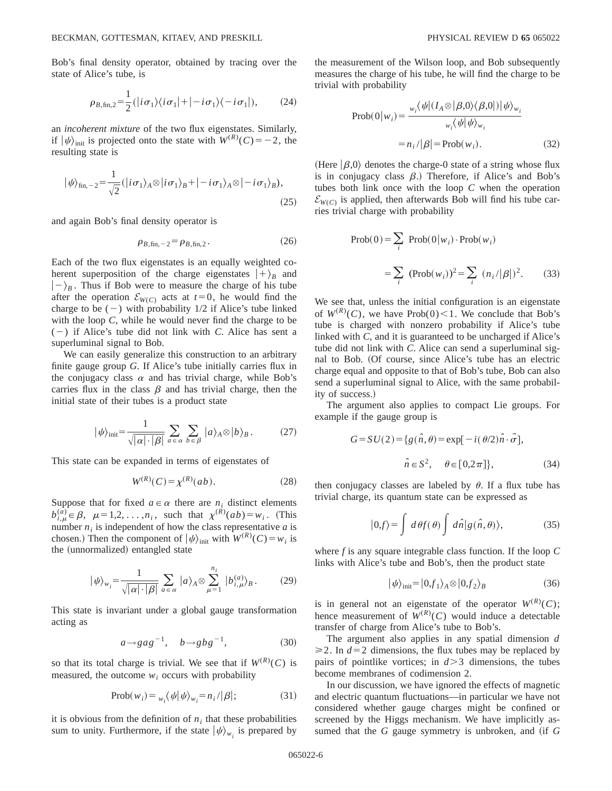Bob's final density operator, obtained by tracing over the state of Alice's tube, is

$$
\rho_{B,\text{fin},2} = \frac{1}{2} (|i\sigma_1\rangle\langle i\sigma_1| + |-i\sigma_1\rangle\langle -i\sigma_1|), \qquad (24)
$$

an *incoherent mixture* of the two flux eigenstates. Similarly, if  $|\psi\rangle$ <sub>init</sub> is projected onto the state with  $W^{(R)}(C) = -2$ , the resulting state is

$$
|\psi\rangle_{\text{fin},-2} = \frac{1}{\sqrt{2}} (|i\sigma_1\rangle_A \otimes |i\sigma_1\rangle_B + |-i\sigma_1\rangle_A \otimes |-i\sigma_1\rangle_B),
$$
\n(25)

and again Bob's final density operator is

$$
\rho_{B,\text{fin},-2} = \rho_{B,\text{fin},2} \,. \tag{26}
$$

Each of the two flux eigenstates is an equally weighted coherent superposition of the charge eigenstates  $|+\rangle_B$  and  $|-\rangle_B$ . Thus if Bob were to measure the charge of his tube after the operation  $\mathcal{E}_{W(C)}$  acts at  $t=0$ , he would find the charge to be  $(-)$  with probability 1/2 if Alice's tube linked with the loop *C*, while he would never find the charge to be  $(-)$  if Alice's tube did not link with *C*. Alice has sent a superluminal signal to Bob.

We can easily generalize this construction to an arbitrary finite gauge group *G*. If Alice's tube initially carries flux in the conjugacy class  $\alpha$  and has trivial charge, while Bob's carries flux in the class  $\beta$  and has trivial charge, then the initial state of their tubes is a product state

$$
|\psi\rangle_{\text{init}} = \frac{1}{\sqrt{|\alpha| \cdot |\beta|}} \sum_{a \in \alpha} \sum_{b \in \beta} |a\rangle_A \otimes |b\rangle_B. \tag{27}
$$

This state can be expanded in terms of eigenstates of

$$
W^{(R)}(C) = \chi^{(R)}(ab). \tag{28}
$$

Suppose that for fixed  $a \in \alpha$  there are  $n_i$  distinct elements  $b_{i,\mu}^{(\overline{a})} \in \beta$ ,  $\mu = 1,2,\ldots,n_i$ , such that  $\chi^{(\overline{R})}(ab) = w_i$ . (This number  $n_i$  is independent of how the class representative  $a$  is chosen.) Then the component of  $|\psi\rangle_{\text{init}}$  with  $W^{(R)}(C) = w_i$  is the (unnormalized) entangled state

$$
|\psi\rangle_{w_i} = \frac{1}{\sqrt{|\alpha| \cdot |\beta|}} \sum_{a \in \alpha} |a\rangle_A \otimes \sum_{\mu=1}^{n_i} |b_{i,\mu}^{(a)}\rangle_B. \tag{29}
$$

This state is invariant under a global gauge transformation acting as

$$
a \rightarrow g a g^{-1}, \quad b \rightarrow g b g^{-1}, \tag{30}
$$

so that its total charge is trivial. We see that if  $W^{(R)}(C)$  is measured, the outcome  $w_i$  occurs with probability

$$
\text{Prob}(w_i) = \frac{w_i}{\psi} \langle \psi | \psi \rangle_{w_i} = n_i / |\beta|; \tag{31}
$$

it is obvious from the definition of  $n_i$  that these probabilities sum to unity. Furthermore, if the state  $|\psi\rangle_{w_i}$  is prepared by the measurement of the Wilson loop, and Bob subsequently measures the charge of his tube, he will find the charge to be trivial with probability

$$
Prob(0|w_i) = \frac{w_i \langle \psi | (I_A \otimes |\beta, 0 \rangle \langle \beta, 0|) | \psi \rangle_{w_i}}{w_i \langle \psi | \psi \rangle_{w_i}}
$$

$$
= n_i / |\beta| = Prob(w_i).
$$
(32)

(Here  $|\beta,0\rangle$  denotes the charge-0 state of a string whose flux is in conjugacy class  $\beta$ .) Therefore, if Alice's and Bob's tubes both link once with the loop *C* when the operation  $\mathcal{E}_{W(C)}$  is applied, then afterwards Bob will find his tube carries trivial charge with probability

$$
\text{Prob}(0) = \sum_{i} \text{Prob}(0|w_i) \cdot \text{Prob}(w_i)
$$

$$
= \sum_{i} (\text{Prob}(w_i))^2 = \sum_{i} (n_i/|\beta|)^2. \tag{33}
$$

We see that, unless the initial configuration is an eigenstate of  $W^{(R)}(C)$ , we have Prob $(0)$  < 1. We conclude that Bob's tube is charged with nonzero probability if Alice's tube linked with *C*, and it is guaranteed to be uncharged if Alice's tube did not link with *C*. Alice can send a superluminal signal to Bob. (Of course, since Alice's tube has an electric charge equal and opposite to that of Bob's tube, Bob can also send a superluminal signal to Alice, with the same probability of success.)

The argument also applies to compact Lie groups. For example if the gauge group is

$$
G = SU(2) = \{g(\hat{n}, \theta) = \exp[-i(\theta/2)\hat{n} \cdot \vec{\sigma}],
$$
  

$$
\hat{n} \in S^2, \quad \theta \in [0, 2\pi]\},
$$
 (34)

then conjugacy classes are labeled by  $\theta$ . If a flux tube has trivial charge, its quantum state can be expressed as

$$
|0,f\rangle = \int d\theta f(\theta) \int d\hat{n} |g(\hat{n},\theta)\rangle, \qquad (35)
$$

where *f* is any square integrable class function. If the loop *C* links with Alice's tube and Bob's, then the product state

$$
|\psi\rangle_{\text{init}} = |0, f_1\rangle_A \otimes |0, f_2\rangle_B \tag{36}
$$

is in general not an eigenstate of the operator  $W^{(R)}(C)$ ; hence measurement of  $W^{(R)}(C)$  would induce a detectable transfer of charge from Alice's tube to Bob's.

The argument also applies in any spatial dimension *d*  $\geq 2$ . In  $d=2$  dimensions, the flux tubes may be replaced by pairs of pointlike vortices; in  $d > 3$  dimensions, the tubes become membranes of codimension 2.

In our discussion, we have ignored the effects of magnetic and electric quantum fluctuations—in particular we have not considered whether gauge charges might be confined or screened by the Higgs mechanism. We have implicitly assumed that the *G* gauge symmetry is unbroken, and (if *G*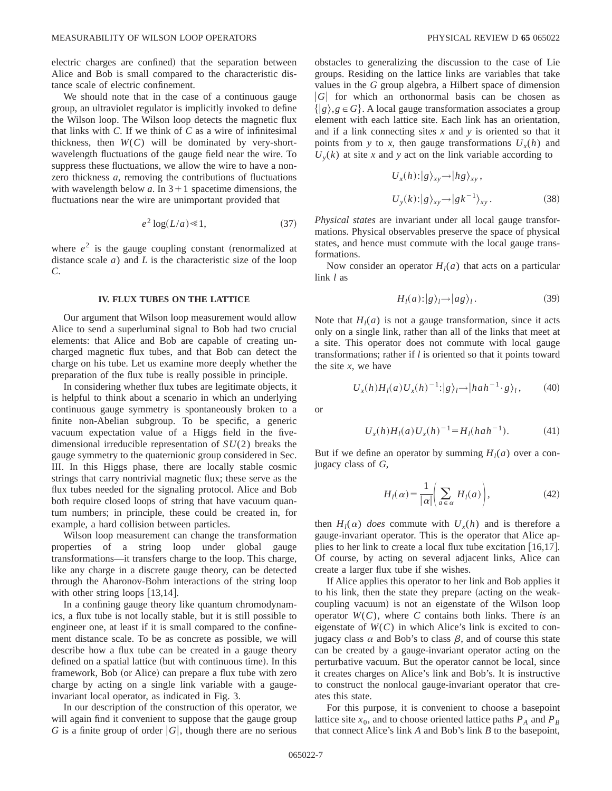electric charges are confined) that the separation between Alice and Bob is small compared to the characteristic distance scale of electric confinement.

We should note that in the case of a continuous gauge group, an ultraviolet regulator is implicitly invoked to define the Wilson loop. The Wilson loop detects the magnetic flux that links with *C*. If we think of *C* as a wire of infinitesimal thickness, then  $W(C)$  will be dominated by very-shortwavelength fluctuations of the gauge field near the wire. To suppress these fluctuations, we allow the wire to have a nonzero thickness *a*, removing the contributions of fluctuations with wavelength below  $a$ . In  $3+1$  spacetime dimensions, the fluctuations near the wire are unimportant provided that

$$
e^2 \log(L/a) \ll 1,\tag{37}
$$

where  $e^2$  is the gauge coupling constant (renormalized at distance scale *a*) and *L* is the characteristic size of the loop *C*.

### **IV. FLUX TUBES ON THE LATTICE**

Our argument that Wilson loop measurement would allow Alice to send a superluminal signal to Bob had two crucial elements: that Alice and Bob are capable of creating uncharged magnetic flux tubes, and that Bob can detect the charge on his tube. Let us examine more deeply whether the preparation of the flux tube is really possible in principle.

In considering whether flux tubes are legitimate objects, it is helpful to think about a scenario in which an underlying continuous gauge symmetry is spontaneously broken to a finite non-Abelian subgroup. To be specific, a generic vacuum expectation value of a Higgs field in the fivedimensional irreducible representation of *SU*(2) breaks the gauge symmetry to the quaternionic group considered in Sec. III. In this Higgs phase, there are locally stable cosmic strings that carry nontrivial magnetic flux; these serve as the flux tubes needed for the signaling protocol. Alice and Bob both require closed loops of string that have vacuum quantum numbers; in principle, these could be created in, for example, a hard collision between particles.

Wilson loop measurement can change the transformation properties of a string loop under global gauge transformations—it transfers charge to the loop. This charge, like any charge in a discrete gauge theory, can be detected through the Aharonov-Bohm interactions of the string loop with other string loops  $[13,14]$ .

In a confining gauge theory like quantum chromodynamics, a flux tube is not locally stable, but it is still possible to engineer one, at least if it is small compared to the confinement distance scale. To be as concrete as possible, we will describe how a flux tube can be created in a gauge theory defined on a spatial lattice (but with continuous time). In this framework, Bob (or Alice) can prepare a flux tube with zero charge by acting on a single link variable with a gaugeinvariant local operator, as indicated in Fig. 3.

In our description of the construction of this operator, we will again find it convenient to suppose that the gauge group *G* is a finite group of order  $|G|$ , though there are no serious obstacles to generalizing the discussion to the case of Lie groups. Residing on the lattice links are variables that take values in the *G* group algebra, a Hilbert space of dimension  $|G|$  for which an orthonormal basis can be chosen as  $\{ |g\rangle, g \in G \}$ . A local gauge transformation associates a group element with each lattice site. Each link has an orientation, and if a link connecting sites *x* and *y* is oriented so that it points from *y* to *x*, then gauge transformations  $U_x(h)$  and  $U_y(k)$  at site *x* and *y* act on the link variable according to

$$
U_x(h): |g\rangle_{xy} \to |hg\rangle_{xy},
$$
  
\n
$$
U_y(k): |g\rangle_{xy} \to |gk^{-1}\rangle_{xy}.
$$
\n(38)

*Physical states* are invariant under all local gauge transformations. Physical observables preserve the space of physical states, and hence must commute with the local gauge transformations.

Now consider an operator  $H_l(a)$  that acts on a particular link *l* as

$$
H_l(a) : |g\rangle_l \to |ag\rangle_l. \tag{39}
$$

Note that  $H_l(a)$  is not a gauge transformation, since it acts only on a single link, rather than all of the links that meet at a site. This operator does not commute with local gauge transformations; rather if *l* is oriented so that it points toward the site *x*, we have

$$
U_x(h)H_l(a)U_x(h)^{-1}:|g\rangle_l \to |hah^{-1} \cdot g\rangle_l, \qquad (40)
$$

or

$$
U_x(h)H_l(a)U_x(h)^{-1} = H_l(hah^{-1}).
$$
 (41)

But if we define an operator by summing  $H<sub>l</sub>(a)$  over a conjugacy class of *G*,

$$
H_l(\alpha) = \frac{1}{|\alpha|} \left( \sum_{a \in \alpha} H_l(a) \right),\tag{42}
$$

then  $H_1(\alpha)$  *does* commute with  $U_r(h)$  and is therefore a gauge-invariant operator. This is the operator that Alice applies to her link to create a local flux tube excitation  $[16,17]$ . Of course, by acting on several adjacent links, Alice can create a larger flux tube if she wishes.

If Alice applies this operator to her link and Bob applies it to his link, then the state they prepare (acting on the weakcoupling vacuum) is not an eigenstate of the Wilson loop operator  $W(C)$ , where *C* contains both links. There *is* an eigenstate of  $W(C)$  in which Alice's link is excited to conjugacy class  $\alpha$  and Bob's to class  $\beta$ , and of course this state can be created by a gauge-invariant operator acting on the perturbative vacuum. But the operator cannot be local, since it creates charges on Alice's link and Bob's. It is instructive to construct the nonlocal gauge-invariant operator that creates this state.

For this purpose, it is convenient to choose a basepoint lattice site  $x_0$ , and to choose oriented lattice paths  $P_A$  and  $P_B$ that connect Alice's link *A* and Bob's link *B* to the basepoint,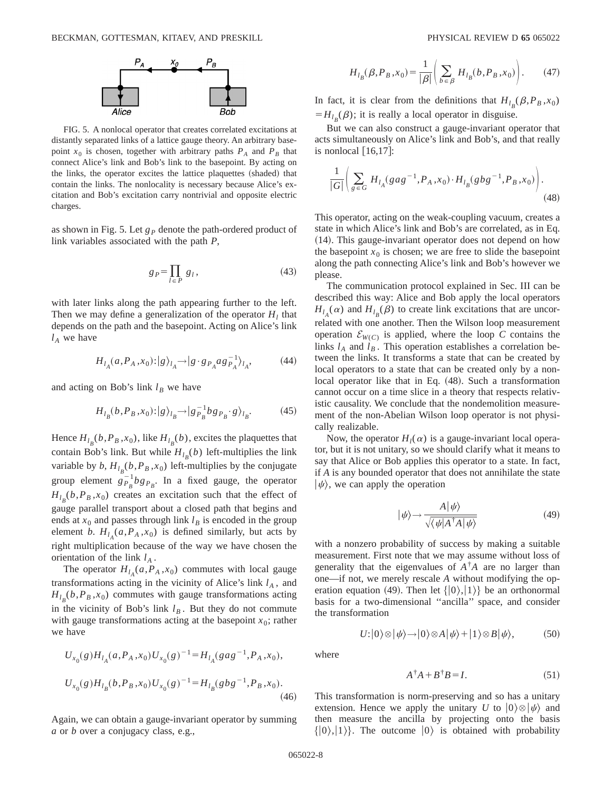

FIG. 5. A nonlocal operator that creates correlated excitations at distantly separated links of a lattice gauge theory. An arbitrary basepoint  $x_0$  is chosen, together with arbitrary paths  $P_A$  and  $P_B$  that connect Alice's link and Bob's link to the basepoint. By acting on the links, the operator excites the lattice plaquettes (shaded) that contain the links. The nonlocality is necessary because Alice's excitation and Bob's excitation carry nontrivial and opposite electric charges.

as shown in Fig. 5. Let  $g<sub>P</sub>$  denote the path-ordered product of link variables associated with the path *P*,

$$
g_P = \prod_{l \in P} g_l, \tag{43}
$$

with later links along the path appearing further to the left. Then we may define a generalization of the operator  $H_1$  that depends on the path and the basepoint. Acting on Alice's link *lA* we have

$$
H_{l_A}(a, P_A, x_0): |g\rangle_{l_A} \to |g \cdot g_{P_A} a g_{P_A}^{-1}\rangle_{l_A},\tag{44}
$$

and acting on Bob's link  $l_B$  we have

$$
H_{l_B}(b, P_B, x_0): |g\rangle_{l_B} \to |g_{P_B}^{-1}bg_{P_B} \cdot g\rangle_{l_B}.\tag{45}
$$

Hence  $H_{l_B}(b, P_B, x_0)$ , like  $H_{l_B}(b)$ , excites the plaquettes that contain Bob's link. But while  $H_{l_B}(b)$  left-multiplies the link variable by *b*,  $H_{l_B}(b, P_B, x_0)$  left-multiplies by the conjugate group element  $g_{P_B}^{-1}$  *b*g<sub>P<sub>B</sub></sub>. In a fixed gauge, the operator  $H_{l_B}(b, P_B, x_0)$  creates an excitation such that the effect of gauge parallel transport about a closed path that begins and ends at  $x_0$  and passes through link  $l_B$  is encoded in the group element *b*.  $H_{l_A}(a, P_A, x_0)$  is defined similarly, but acts by right multiplication because of the way we have chosen the orientation of the link  $l_A$ .

The operator  $H_{l_A}(a, P_A, x_0)$  commutes with local gauge transformations acting in the vicinity of Alice's link  $l_A$ , and  $H_{l_B}(b, P_B, x_0)$  commutes with gauge transformations acting in the vicinity of Bob's link  $l_B$ . But they do not commute with gauge transformations acting at the basepoint  $x_0$ ; rather we have

$$
U_{x_0}(g)H_{l_A}(a, P_A, x_0)U_{x_0}(g)^{-1} = H_{l_A}(gag^{-1}, P_A, x_0),
$$
  

$$
U_{x_0}(g)H_{l_B}(b, P_B, x_0)U_{x_0}(g)^{-1} = H_{l_B}(gbg^{-1}, P_B, x_0).
$$
  
(46)

Again, we can obtain a gauge-invariant operator by summing *a* or *b* over a conjugacy class, e.g.,

$$
H_{l_{B}}(\beta, P_{B}, x_{0}) = \frac{1}{|\beta|} \left( \sum_{b \in \beta} H_{l_{B}}(b, P_{B}, x_{0}) \right).
$$
 (47)

In fact, it is clear from the definitions that  $H_{l_B}(\beta, P_B, x_0)$  $=$   $H_{l_B}(\beta)$ ; it is really a local operator in disguise.

But we can also construct a gauge-invariant operator that acts simultaneously on Alice's link and Bob's, and that really is nonlocal  $[16,17]$ :

$$
\frac{1}{|G|} \left( \sum_{g \in G} H_{l_A}(gag^{-1}, P_A, x_0) \cdot H_{l_B}(gbg^{-1}, P_B, x_0) \right). \tag{48}
$$

This operator, acting on the weak-coupling vacuum, creates a state in which Alice's link and Bob's are correlated, as in Eq.  $(14)$ . This gauge-invariant operator does not depend on how the basepoint  $x_0$  is chosen; we are free to slide the basepoint along the path connecting Alice's link and Bob's however we please.

The communication protocol explained in Sec. III can be described this way: Alice and Bob apply the local operators  $H_{l_A}(\alpha)$  and  $H_{l_B}(\beta)$  to create link excitations that are uncorrelated with one another. Then the Wilson loop measurement operation  $\mathcal{E}_{W(C)}$  is applied, where the loop *C* contains the links  $l_A$  and  $l_B$ . This operation establishes a correlation between the links. It transforms a state that can be created by local operators to a state that can be created only by a nonlocal operator like that in Eq.  $(48)$ . Such a transformation cannot occur on a time slice in a theory that respects relativistic causality. We conclude that the nondemolition measurement of the non-Abelian Wilson loop operator is not physically realizable.

Now, the operator  $H_l(\alpha)$  is a gauge-invariant local operator, but it is not unitary, so we should clarify what it means to say that Alice or Bob applies this operator to a state. In fact, if *A* is any bounded operator that does not annihilate the state  $|\psi\rangle$ , we can apply the operation

$$
|\psi\rangle \rightarrow \frac{A|\psi\rangle}{\sqrt{\langle \psi|A^{\dagger}A|\psi\rangle}}
$$
(49)

with a nonzero probability of success by making a suitable measurement. First note that we may assume without loss of generality that the eigenvalues of *A*†*A* are no larger than one—if not, we merely rescale *A* without modifying the operation equation (49). Then let  $\{|0\rangle, |1\rangle\}$  be an orthonormal basis for a two-dimensional ''ancilla'' space, and consider the transformation

$$
U:|0\rangle \otimes |\psi\rangle \rightarrow |0\rangle \otimes A|\psi\rangle + |1\rangle \otimes B|\psi\rangle, \tag{50}
$$

where

$$
A^{\dagger}A + B^{\dagger}B = I. \tag{51}
$$

This transformation is norm-preserving and so has a unitary extension. Hence we apply the unitary *U* to  $|0\rangle \otimes |\psi\rangle$  and then measure the ancilla by projecting onto the basis  $\{|0\rangle, |1\rangle\}$ . The outcome  $|0\rangle$  is obtained with probability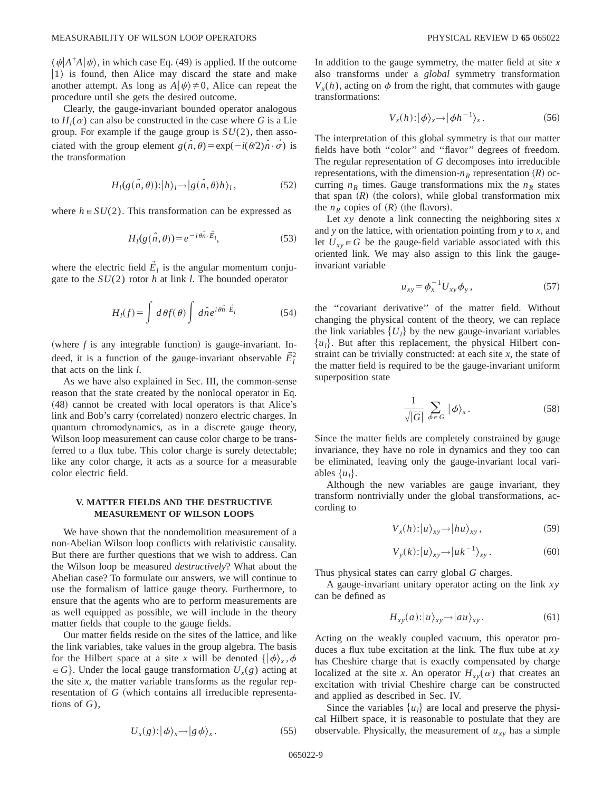$\langle \psi|A^{\dagger}A|\psi\rangle$ , in which case Eq. (49) is applied. If the outcome  $|1\rangle$  is found, then Alice may discard the state and make another attempt. As long as  $A|\psi\rangle \neq 0$ , Alice can repeat the procedure until she gets the desired outcome.

Clearly, the gauge-invariant bounded operator analogous to  $H<sub>1</sub>(\alpha)$  can also be constructed in the case where *G* is a Lie group. For example if the gauge group is *SU*(2), then associated with the group element  $g(\hat{n},\theta) = \exp(-i(\theta/2)\hat{n}\cdot\vec{\sigma})$  is the transformation

$$
H_l(g(\hat{n},\theta)):|h\rangle_l \to |g(\hat{n},\theta)h\rangle_l, \qquad (52)
$$

where  $h \in SU(2)$ . This transformation can be expressed as

$$
H_l(g(\hat{n}, \theta)) = e^{-i\theta \hat{n} \cdot \vec{E}_l},\tag{53}
$$

where the electric field  $\vec{E}_l$  is the angular momentum conjugate to the *SU*(2) rotor *h* at link *l*. The bounded operator

$$
H_{l}(f) = \int d\theta f(\theta) \int d\hat{n} e^{i\theta \hat{n} \cdot \vec{E}_{l}}
$$
 (54)

(where  $f$  is any integrable function) is gauge-invariant. Indeed, it is a function of the gauge-invariant observable  $\vec{E}_l^2$ that acts on the link *l*.

As we have also explained in Sec. III, the common-sense reason that the state created by the nonlocal operator in Eq. (48) cannot be created with local operators is that Alice's link and Bob's carry (correlated) nonzero electric charges. In quantum chromodynamics, as in a discrete gauge theory, Wilson loop measurement can cause color charge to be transferred to a flux tube. This color charge is surely detectable; like any color charge, it acts as a source for a measurable color electric field.

# **V. MATTER FIELDS AND THE DESTRUCTIVE MEASUREMENT OF WILSON LOOPS**

We have shown that the nondemolition measurement of a non-Abelian Wilson loop conflicts with relativistic causality. But there are further questions that we wish to address. Can the Wilson loop be measured *destructively*? What about the Abelian case? To formulate our answers, we will continue to use the formalism of lattice gauge theory. Furthermore, to ensure that the agents who are to perform measurements are as well equipped as possible, we will include in the theory matter fields that couple to the gauge fields.

Our matter fields reside on the sites of the lattice, and like the link variables, take values in the group algebra. The basis for the Hilbert space at a site *x* will be denoted  $\{\phi\}_x, \phi$  $\in G$ . Under the local gauge transformation  $U_x(g)$  acting at the site *x*, the matter variable transforms as the regular representation of  $G$  (which contains all irreducible representations of *G*),

In addition to the gauge symmetry, the matter field at site *x* also transforms under a *global* symmetry transformation  $V_r(h)$ , acting on  $\phi$  from the right, that commutes with gauge transformations:

$$
V_x(h):|\phi\rangle_x \to |\phi h^{-1}\rangle_x. \tag{56}
$$

The interpretation of this global symmetry is that our matter fields have both ''color'' and ''flavor'' degrees of freedom. The regular representation of *G* decomposes into irreducible representations, with the dimension- $n_R$  representation  $(R)$  occurring  $n_R$  times. Gauge transformations mix the  $n_R$  states that span  $(R)$  (the colors), while global transformation mix the  $n_R$  copies of  $(R)$  (the flavors).

Let *xy* denote a link connecting the neighboring sites *x* and *y* on the lattice, with orientation pointing from *y* to *x*, and let  $U_{xy} \in G$  be the gauge-field variable associated with this oriented link. We may also assign to this link the gaugeinvariant variable

$$
u_{xy} = \phi_x^{-1} U_{xy} \phi_y, \qquad (57)
$$

the ''covariant derivative'' of the matter field. Without changing the physical content of the theory, we can replace the link variables  $\{U_i\}$  by the new gauge-invariant variables  $\{u_i\}$ . But after this replacement, the physical Hilbert constraint can be trivially constructed: at each site *x*, the state of the matter field is required to be the gauge-invariant uniform superposition state

$$
\frac{1}{\sqrt{|G|}} \sum_{\phi \in G} |\phi\rangle_x. \tag{58}
$$

Since the matter fields are completely constrained by gauge invariance, they have no role in dynamics and they too can be eliminated, leaving only the gauge-invariant local variables  $\{u_l\}$ .

Although the new variables are gauge invariant, they transform nontrivially under the global transformations, according to

$$
V_x(h):|u\rangle_{xy} \to |hu\rangle_{xy}, \qquad (59)
$$

$$
V_{y}(k):|u\rangle_{xy} \to |uk^{-1}\rangle_{xy}.
$$
 (60)

Thus physical states can carry global *G* charges.

A gauge-invariant unitary operator acting on the link *xy* can be defined as

$$
H_{xy}(a) : |u\rangle_{xy} \to |au\rangle_{xy}.
$$
 (61)

Acting on the weakly coupled vacuum, this operator produces a flux tube excitation at the link. The flux tube at *xy* has Cheshire charge that is exactly compensated by charge localized at the site *x*. An operator  $H_{xy}(\alpha)$  that creates an excitation with trivial Cheshire charge can be constructed and applied as described in Sec. IV.

Since the variables  $\{u_i\}$  are local and preserve the physical Hilbert space, it is reasonable to postulate that they are observable. Physically, the measurement of  $u_{xy}$  has a simple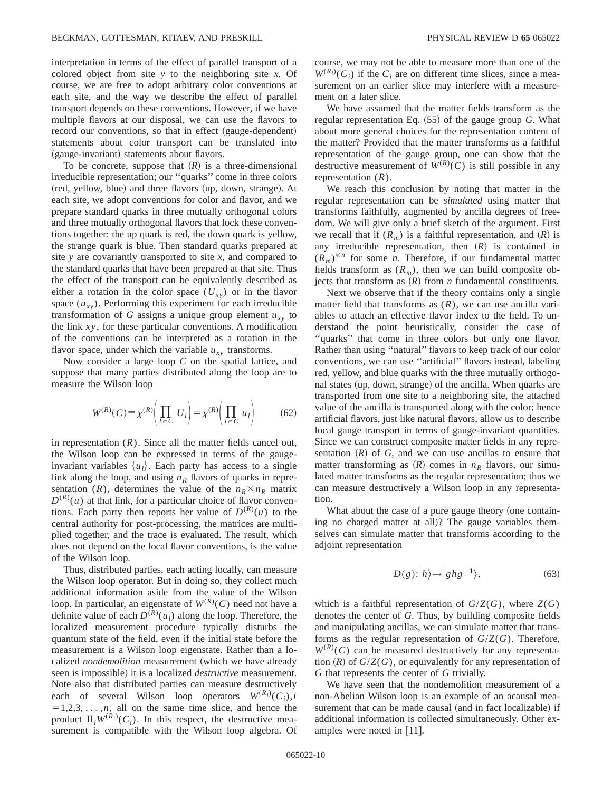interpretation in terms of the effect of parallel transport of a colored object from site *y* to the neighboring site *x*. Of course, we are free to adopt arbitrary color conventions at each site, and the way we describe the effect of parallel transport depends on these conventions. However, if we have multiple flavors at our disposal, we can use the flavors to record our conventions, so that in effect (gauge-dependent) statements about color transport can be translated into (gauge-invariant) statements about flavors.

To be concrete, suppose that  $(R)$  is a three-dimensional irreducible representation; our ''quarks'' come in three colors (red, yellow, blue) and three flavors (up, down, strange). At each site, we adopt conventions for color and flavor, and we prepare standard quarks in three mutually orthogonal colors and three mutually orthogonal flavors that lock these conventions together: the up quark is red, the down quark is yellow, the strange quark is blue. Then standard quarks prepared at site *y* are covariantly transported to site *x*, and compared to the standard quarks that have been prepared at that site. Thus the effect of the transport can be equivalently described as either a rotation in the color space  $(U_{xy})$  or in the flavor space  $(u_{xy})$ . Performing this experiment for each irreducible transformation of *G* assigns a unique group element  $u_{xy}$  to the link *xy*, for these particular conventions. A modification of the conventions can be interpreted as a rotation in the flavor space, under which the variable  $u_{xy}$  transforms.

Now consider a large loop *C* on the spatial lattice, and suppose that many parties distributed along the loop are to measure the Wilson loop

$$
W^{(R)}(C) \equiv \chi^{(R)} \left( \prod_{l \in C} U_l \right) = \chi^{(R)} \left( \prod_{l \in C} u_l \right) \tag{62}
$$

in representation (*R*). Since all the matter fields cancel out, the Wilson loop can be expressed in terms of the gaugeinvariant variables  $\{u_i\}$ . Each party has access to a single link along the loop, and using  $n_R$  flavors of quarks in representation (*R*), determines the value of the  $n_R \times n_R$  matrix  $D^{(R)}(u)$  at that link, for a particular choice of flavor conventions. Each party then reports her value of  $D^{(R)}(u)$  to the central authority for post-processing, the matrices are multiplied together, and the trace is evaluated. The result, which does not depend on the local flavor conventions, is the value of the Wilson loop.

Thus, distributed parties, each acting locally, can measure the Wilson loop operator. But in doing so, they collect much additional information aside from the value of the Wilson loop. In particular, an eigenstate of  $W^{(R)}(C)$  need not have a definite value of each  $D^{(R)}(u_l)$  along the loop. Therefore, the localized measurement procedure typically disturbs the quantum state of the field, even if the initial state before the measurement is a Wilson loop eigenstate. Rather than a localized *nondemolition* measurement (which we have already seen is impossible) it is a localized *destructive* measurement. Note also that distributed parties can measure destructively each of several Wilson loop operators  $W^{(R_i)}(C_i)$ ,*i*  $=1,2,3,\ldots,n$ , all on the same time slice, and hence the product  $\Pi_i W^{(R_i)}(C_i)$ . In this respect, the destructive measurement is compatible with the Wilson loop algebra. Of

We have assumed that the matter fields transform as the regular representation Eq.  $(55)$  of the gauge group *G*. What about more general choices for the representation content of the matter? Provided that the matter transforms as a faithful representation of the gauge group, one can show that the destructive measurement of  $W^{(R)}(C)$  is still possible in any representation (*R*).

We reach this conclusion by noting that matter in the regular representation can be *simulated* using matter that transforms faithfully, augmented by ancilla degrees of freedom. We will give only a brief sketch of the argument. First we recall that if  $(R_m)$  is a faithful representation, and  $(R)$  is any irreducible representation, then  $(R)$  is contained in  $(R_m)^{\otimes n}$  for some *n*. Therefore, if our fundamental matter fields transform as  $(R_m)$ , then we can build composite objects that transform as  $(R)$  from *n* fundamental constituents.

Next we observe that if the theory contains only a single matter field that transforms as  $(R)$ , we can use ancilla variables to attach an effective flavor index to the field. To understand the point heuristically, consider the case of "quarks" that come in three colors but only one flavor. Rather than using ''natural'' flavors to keep track of our color conventions, we can use ''artificial'' flavors instead, labeling red, yellow, and blue quarks with the three mutually orthogonal states (up, down, strange) of the ancilla. When quarks are transported from one site to a neighboring site, the attached value of the ancilla is transported along with the color; hence artificial flavors, just like natural flavors, allow us to describe local gauge transport in terms of gauge-invariant quantities. Since we can construct composite matter fields in any representation  $(R)$  of  $G$ , and we can use ancillas to ensure that matter transforming as  $(R)$  comes in  $n_R$  flavors, our simulated matter transforms as the regular representation; thus we can measure destructively a Wilson loop in any representation.

What about the case of a pure gauge theory (one containing no charged matter at all)? The gauge variables themselves can simulate matter that transforms according to the adjoint representation

$$
D(g):|h\rangle \rightarrow |ghg^{-1}\rangle, \tag{63}
$$

which is a faithful representation of  $G/Z(G)$ , where  $Z(G)$ denotes the center of *G*. Thus, by building composite fields and manipulating ancillas, we can simulate matter that transforms as the regular representation of *G*/*Z*(*G*). Therefore,  $W^{(R)}(C)$  can be measured destructively for any representation  $(R)$  of  $G/Z(G)$ , or equivalently for any representation of *G* that represents the center of *G* trivially.

We have seen that the nondemolition measurement of a non-Abelian Wilson loop is an example of an acausal measurement that can be made causal (and in fact localizable) if additional information is collected simultaneously. Other examples were noted in  $[11]$ .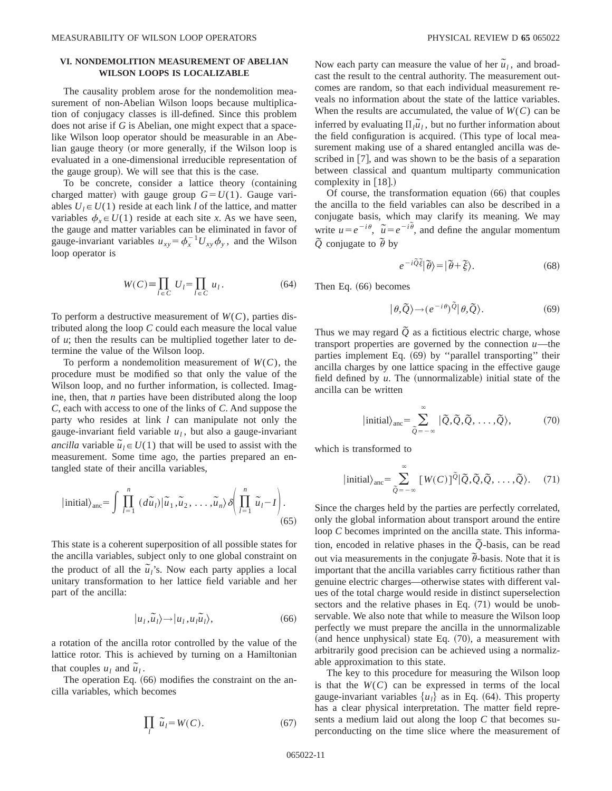# **VI. NONDEMOLITION MEASUREMENT OF ABELIAN WILSON LOOPS IS LOCALIZABLE**

The causality problem arose for the nondemolition measurement of non-Abelian Wilson loops because multiplication of conjugacy classes is ill-defined. Since this problem does not arise if *G* is Abelian, one might expect that a spacelike Wilson loop operator should be measurable in an Abelian gauge theory (or more generally, if the Wilson loop is evaluated in a one-dimensional irreducible representation of the gauge group). We will see that this is the case.

To be concrete, consider a lattice theory (containing charged matter) with gauge group  $G=U(1)$ . Gauge variables  $U_l \in U(1)$  reside at each link *l* of the lattice, and matter variables  $\phi_x \in U(1)$  reside at each site *x*. As we have seen, the gauge and matter variables can be eliminated in favor of gauge-invariant variables  $u_{xy} = \phi_x^{-1} U_{xy} \phi_y$ , and the Wilson loop operator is

$$
W(C) \equiv \prod_{l \in C} U_l = \prod_{l \in C} u_l. \tag{64}
$$

To perform a destructive measurement of *W*(*C*), parties distributed along the loop *C* could each measure the local value of *u*; then the results can be multiplied together later to determine the value of the Wilson loop.

To perform a nondemolition measurement of *W*(*C*), the procedure must be modified so that only the value of the Wilson loop, and no further information, is collected. Imagine, then, that *n* parties have been distributed along the loop *C*, each with access to one of the links of *C*. And suppose the party who resides at link *l* can manipulate not only the gauge-invariant field variable  $u_l$ , but also a gauge-invariant *ancilla* variable  $\tilde{u}_l \in U(1)$  that will be used to assist with the measurement. Some time ago, the parties prepared an entangled state of their ancilla variables,

$$
|\text{initial}\rangle_{\text{anc}} = \int \prod_{l=1}^{n} (d\widetilde{u}_{l}) |\widetilde{u}_{1}, \widetilde{u}_{2}, \dots, \widetilde{u}_{n} \rangle \delta \left( \prod_{l=1}^{n} \widetilde{u}_{l} - I \right).
$$
\n(65)

This state is a coherent superposition of all possible states for the ancilla variables, subject only to one global constraint on the product of all the  $\tilde{u}_l$ 's. Now each party applies a local unitary transformation to her lattice field variable and her part of the ancilla:

$$
|u_l, \tilde{u}_l\rangle \rightarrow |u_l, u_l \tilde{u}_l\rangle,\tag{66}
$$

a rotation of the ancilla rotor controlled by the value of the lattice rotor. This is achieved by turning on a Hamiltonian that couples  $u_l$  and  $\tilde{u}_l$ .

The operation Eq.  $(66)$  modifies the constraint on the ancilla variables, which becomes

$$
\prod_{l} \widetilde{u}_{l} = W(C). \tag{67}
$$

Now each party can measure the value of her  $\tilde{u}_l$ , and broadcast the result to the central authority. The measurement outcomes are random, so that each individual measurement reveals no information about the state of the lattice variables. When the results are accumulated, the value of  $W(C)$  can be inferred by evaluating  $\Pi_l \tilde{u}_l$ , but no further information about the field configuration is acquired. (This type of local measurement making use of a shared entangled ancilla was described in  $[7]$ , and was shown to be the basis of a separation between classical and quantum multiparty communication complexity in  $[18]$ .)

Of course, the transformation equation  $(66)$  that couples the ancilla to the field variables can also be described in a conjugate basis, which may clarify its meaning. We may write  $u = e^{-i\theta}$ ,  $\tilde{u} = e^{-i\tilde{\theta}}$ , and define the angular momentum  $\overline{Q}$  conjugate to  $\overline{\theta}$  by

$$
e^{-i\tilde{\mathcal{Q}}\tilde{\xi}}|\tilde{\theta}\rangle = |\tilde{\theta} + \tilde{\xi}\rangle. \tag{68}
$$

Then Eq.  $(66)$  becomes

$$
|\theta,\tilde{Q}\rangle \rightarrow (e^{-i\theta})^{\tilde{Q}}|\theta,\tilde{Q}\rangle. \tag{69}
$$

Thus we may regard  $\tilde{Q}$  as a fictitious electric charge, whose transport properties are governed by the connection *u*—the parties implement Eq. (69) by "parallel transporting" their ancilla charges by one lattice spacing in the effective gauge field defined by  $u$ . The (unnormalizable) initial state of the ancilla can be written

$$
|\text{initial}\rangle_{\text{anc}} = \sum_{\tilde{Q}=-\infty}^{\infty} |\tilde{Q}, \tilde{Q}, \tilde{Q}, \dots, \tilde{Q}\rangle, \tag{70}
$$

which is transformed to

$$
|\text{initial}\rangle_{\text{anc}} = \sum_{\tilde{Q}=-\infty}^{\infty} \left[ W(C) \right] \tilde{\varrho} | \tilde{Q}, \tilde{Q}, \tilde{Q}, \dots, \tilde{Q} \rangle. \tag{71}
$$

Since the charges held by the parties are perfectly correlated, only the global information about transport around the entire loop *C* becomes imprinted on the ancilla state. This information, encoded in relative phases in the  $\tilde{Q}$ -basis, can be read out via measurements in the conjugate  $\tilde{\theta}$ -basis. Note that it is important that the ancilla variables carry fictitious rather than genuine electric charges—otherwise states with different values of the total charge would reside in distinct superselection sectors and the relative phases in Eq.  $(71)$  would be unobservable. We also note that while to measure the Wilson loop perfectly we must prepare the ancilla in the unnormalizable (and hence unphysical) state Eq.  $(70)$ , a measurement with arbitrarily good precision can be achieved using a normalizable approximation to this state.

The key to this procedure for measuring the Wilson loop is that the  $W(C)$  can be expressed in terms of the local gauge-invariant variables  $\{u_l\}$  as in Eq. (64). This property has a clear physical interpretation. The matter field represents a medium laid out along the loop *C* that becomes superconducting on the time slice where the measurement of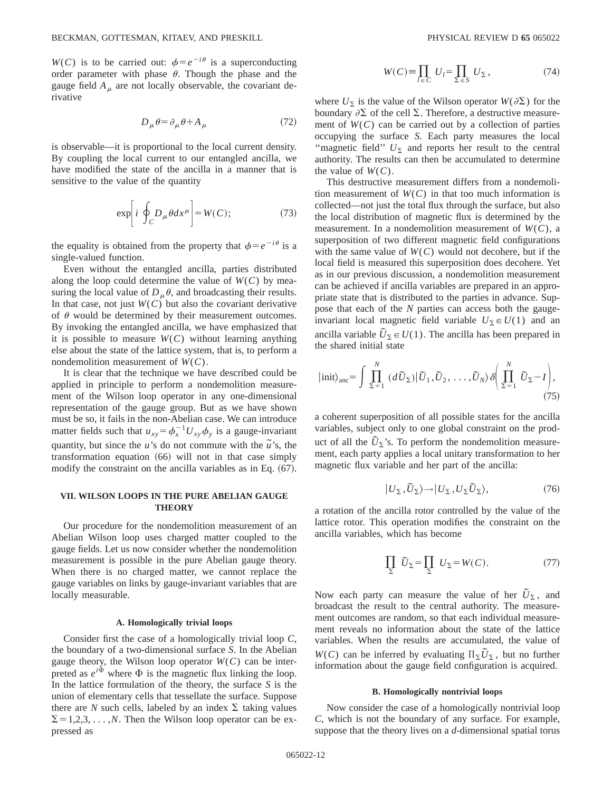*W*(*C*) is to be carried out:  $\phi = e^{-i\theta}$  is a superconducting order parameter with phase  $\theta$ . Though the phase and the gauge field  $A_\mu$  are not locally observable, the covariant derivative

$$
D_{\mu}\theta = \partial_{\mu}\theta + A_{\mu} \tag{72}
$$

is observable—it is proportional to the local current density. By coupling the local current to our entangled ancilla, we have modified the state of the ancilla in a manner that is sensitive to the value of the quantity

$$
\exp\left[i \oint_C D_\mu \theta dx^\mu\right] = W(C); \tag{73}
$$

the equality is obtained from the property that  $\phi = e^{-i\theta}$  is a single-valued function.

Even without the entangled ancilla, parties distributed along the loop could determine the value of  $W(C)$  by measuring the local value of  $D_{\mu}$ , and broadcasting their results. In that case, not just  $W(C)$  but also the covariant derivative of  $\theta$  would be determined by their measurement outcomes. By invoking the entangled ancilla, we have emphasized that it is possible to measure *W*(*C*) without learning anything else about the state of the lattice system, that is, to perform a nondemolition measurement of *W*(*C*).

It is clear that the technique we have described could be applied in principle to perform a nondemolition measurement of the Wilson loop operator in any one-dimensional representation of the gauge group. But as we have shown must be so, it fails in the non-Abelian case. We can introduce matter fields such that  $u_{xy} = \phi_x^{-1} U_{xy} \phi_y$  is a gauge-invariant quantity, but since the *u*'s do not commute with the  $\tilde{u}$ 's, the transformation equation  $(66)$  will not in that case simply modify the constraint on the ancilla variables as in Eq.  $(67)$ .

### **VII. WILSON LOOPS IN THE PURE ABELIAN GAUGE THEORY**

Our procedure for the nondemolition measurement of an Abelian Wilson loop uses charged matter coupled to the gauge fields. Let us now consider whether the nondemolition measurement is possible in the pure Abelian gauge theory. When there is no charged matter, we cannot replace the gauge variables on links by gauge-invariant variables that are locally measurable.

#### **A. Homologically trivial loops**

Consider first the case of a homologically trivial loop *C*, the boundary of a two-dimensional surface *S*. In the Abelian gauge theory, the Wilson loop operator  $W(C)$  can be interpreted as  $e^{i\Phi}$  where  $\Phi$  is the magnetic flux linking the loop. In the lattice formulation of the theory, the surface *S* is the union of elementary cells that tessellate the surface. Suppose there are *N* such cells, labeled by an index  $\Sigma$  taking values  $\Sigma = 1,2,3,\ldots,N$ . Then the Wilson loop operator can be expressed as

$$
W(C) \equiv \prod_{l \in C} U_l = \prod_{\Sigma \in S} U_{\Sigma}, \qquad (74)
$$

where  $U_{\Sigma}$  is the value of the Wilson operator  $W(\partial \Sigma)$  for the boundary  $\partial \Sigma$  of the cell  $\Sigma$ . Therefore, a destructive measurement of  $W(C)$  can be carried out by a collection of parties occupying the surface *S*. Each party measures the local "magnetic field"  $U_{\Sigma}$  and reports her result to the central authority. The results can then be accumulated to determine the value of  $W(C)$ .

This destructive measurement differs from a nondemolition measurement of  $W(C)$  in that too much information is collected—not just the total flux through the surface, but also the local distribution of magnetic flux is determined by the measurement. In a nondemolition measurement of *W*(*C*), a superposition of two different magnetic field configurations with the same value of  $W(C)$  would not decohere, but if the local field is measured this superposition does decohere. Yet as in our previous discussion, a nondemolition measurement can be achieved if ancilla variables are prepared in an appropriate state that is distributed to the parties in advance. Suppose that each of the *N* parties can access both the gaugeinvariant local magnetic field variable  $U_{\Sigma} \in U(1)$  and an ancilla variable  $\tilde{U}_{\Sigma} \in U(1)$ . The ancilla has been prepared in the shared initial state

$$
|\text{init}\rangle_{\text{anc}} = \int \prod_{\Sigma=1}^{N} (d\tilde{U}_{\Sigma}) |\tilde{U}_1, \tilde{U}_2, \dots, \tilde{U}_N\rangle \delta \left( \prod_{\Sigma=1}^{N} \tilde{U}_{\Sigma} - I \right), \tag{75}
$$

a coherent superposition of all possible states for the ancilla variables, subject only to one global constraint on the product of all the  $\tilde{U}_{\Sigma}$ 's. To perform the nondemolition measurement, each party applies a local unitary transformation to her magnetic flux variable and her part of the ancilla:

$$
|U_{\Sigma}, \tilde{U}_{\Sigma}\rangle \rightarrow |U_{\Sigma}, U_{\Sigma}\tilde{U}_{\Sigma}\rangle, \tag{76}
$$

a rotation of the ancilla rotor controlled by the value of the lattice rotor. This operation modifies the constraint on the ancilla variables, which has become

$$
\prod_{\Sigma} \ \tilde{U}_{\Sigma} = \prod_{\Sigma} \ U_{\Sigma} = W(C). \tag{77}
$$

Now each party can measure the value of her  $\tilde{U}_{\Sigma}$ , and broadcast the result to the central authority. The measurement outcomes are random, so that each individual measurement reveals no information about the state of the lattice variables. When the results are accumulated, the value of *W*(*C*) can be inferred by evaluating  $\Pi_{\Sigma} \tilde{U}_{\Sigma}$ , but no further information about the gauge field configuration is acquired.

### **B. Homologically nontrivial loops**

Now consider the case of a homologically nontrivial loop *C*, which is not the boundary of any surface. For example, suppose that the theory lives on a *d*-dimensional spatial torus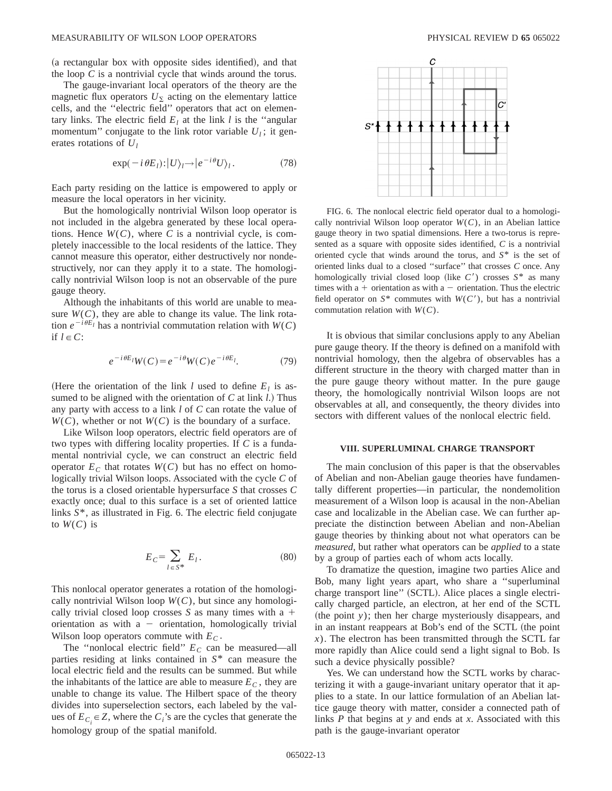#### MEASURABILITY OF WILSON LOOP OPERATORS PHYSICAL REVIEW D **65** 065022

(a rectangular box with opposite sides identified), and that the loop *C* is a nontrivial cycle that winds around the torus.

The gauge-invariant local operators of the theory are the magnetic flux operators  $U_{\Sigma}$  acting on the elementary lattice cells, and the ''electric field'' operators that act on elementary links. The electric field  $E_l$  at the link *l* is the "angular" momentum'' conjugate to the link rotor variable  $U_l$ ; it generates rotations of *Ul*

$$
\exp(-i\,\theta E_l):|U\rangle_l \to |e^{-i\,\theta}U\rangle_l. \tag{78}
$$

Each party residing on the lattice is empowered to apply or measure the local operators in her vicinity.

But the homologically nontrivial Wilson loop operator is not included in the algebra generated by these local operations. Hence  $W(C)$ , where *C* is a nontrivial cycle, is completely inaccessible to the local residents of the lattice. They cannot measure this operator, either destructively nor nondestructively, nor can they apply it to a state. The homologically nontrivial Wilson loop is not an observable of the pure gauge theory.

Although the inhabitants of this world are unable to measure  $W(C)$ , they are able to change its value. The link rotation  $e^{-i\theta E_l}$  has a nontrivial commutation relation with  $W(C)$ if  $l \in C$ :

$$
e^{-i\theta E_l}W(C) = e^{-i\theta}W(C)e^{-i\theta E_l}.
$$
 (79)

(Here the orientation of the link *l* used to define  $E_l$  is assumed to be aligned with the orientation of  $C$  at link  $l$ .) Thus any party with access to a link *l* of *C* can rotate the value of  $W(C)$ , whether or not  $W(C)$  is the boundary of a surface.

Like Wilson loop operators, electric field operators are of two types with differing locality properties. If *C* is a fundamental nontrivial cycle, we can construct an electric field operator  $E_C$  that rotates  $W(C)$  but has no effect on homologically trivial Wilson loops. Associated with the cycle *C* of the torus is a closed orientable hypersurface *S* that crosses *C* exactly once; dual to this surface is a set of oriented lattice links *S*\*, as illustrated in Fig. 6. The electric field conjugate to  $W(C)$  is

$$
E_C = \sum_{l \in S^*} E_l. \tag{80}
$$

This nonlocal operator generates a rotation of the homologically nontrivial Wilson loop  $W(C)$ , but since any homologically trivial closed loop crosses  $S$  as many times with a  $+$ orientation as with  $a -$  orientation, homologically trivial Wilson loop operators commute with  $E_C$ .

The "nonlocal electric field"  $E_C$  can be measured—all parties residing at links contained in *S*\* can measure the local electric field and the results can be summed. But while the inhabitants of the lattice are able to measure  $E<sub>C</sub>$ , they are unable to change its value. The Hilbert space of the theory divides into superselection sectors, each labeled by the values of  $E_{C_i} \in Z$ , where the  $C_i$ 's are the cycles that generate the homology group of the spatial manifold.



FIG. 6. The nonlocal electric field operator dual to a homologically nontrivial Wilson loop operator  $W(C)$ , in an Abelian lattice gauge theory in two spatial dimensions. Here a two-torus is represented as a square with opposite sides identified, *C* is a nontrivial oriented cycle that winds around the torus, and *S*\* is the set of oriented links dual to a closed ''surface'' that crosses *C* once. Any homologically trivial closed loop (like  $C'$ ) crosses  $S^*$  as many times with a  $+$  orientation as with a  $-$  orientation. Thus the electric field operator on  $S^*$  commutes with  $W(C')$ , but has a nontrivial commutation relation with *W*(*C*).

It is obvious that similar conclusions apply to any Abelian pure gauge theory. If the theory is defined on a manifold with nontrivial homology, then the algebra of observables has a different structure in the theory with charged matter than in the pure gauge theory without matter. In the pure gauge theory, the homologically nontrivial Wilson loops are not observables at all, and consequently, the theory divides into sectors with different values of the nonlocal electric field.

#### **VIII. SUPERLUMINAL CHARGE TRANSPORT**

The main conclusion of this paper is that the observables of Abelian and non-Abelian gauge theories have fundamentally different properties—in particular, the nondemolition measurement of a Wilson loop is acausal in the non-Abelian case and localizable in the Abelian case. We can further appreciate the distinction between Abelian and non-Abelian gauge theories by thinking about not what operators can be *measured*, but rather what operators can be *applied* to a state by a group of parties each of whom acts locally.

To dramatize the question, imagine two parties Alice and Bob, many light years apart, who share a ''superluminal charge transport line" (SCTL). Alice places a single electrically charged particle, an electron, at her end of the SCTL (the point  $y$ ); then her charge mysteriously disappears, and in an instant reappears at Bob's end of the SCTL (the point *x*). The electron has been transmitted through the SCTL far more rapidly than Alice could send a light signal to Bob. Is such a device physically possible?

Yes. We can understand how the SCTL works by characterizing it with a gauge-invariant unitary operator that it applies to a state. In our lattice formulation of an Abelian lattice gauge theory with matter, consider a connected path of links *P* that begins at *y* and ends at *x*. Associated with this path is the gauge-invariant operator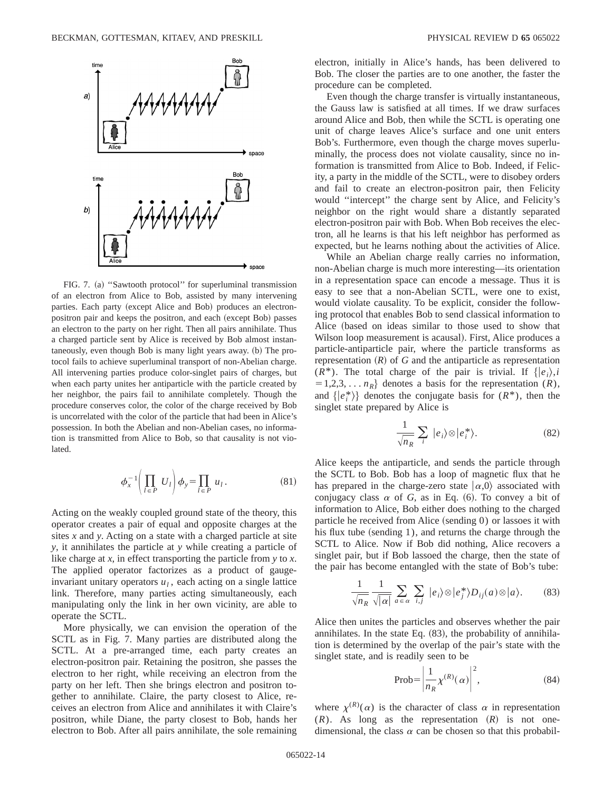

FIG. 7. (a) "Sawtooth protocol" for superluminal transmission of an electron from Alice to Bob, assisted by many intervening parties. Each party (except Alice and Bob) produces an electronpositron pair and keeps the positron, and each (except Bob) passes an electron to the party on her right. Then all pairs annihilate. Thus a charged particle sent by Alice is received by Bob almost instantaneously, even though Bob is many light years away. (b) The protocol fails to achieve superluminal transport of non-Abelian charge. All intervening parties produce color-singlet pairs of charges, but when each party unites her antiparticle with the particle created by her neighbor, the pairs fail to annihilate completely. Though the procedure conserves color, the color of the charge received by Bob is uncorrelated with the color of the particle that had been in Alice's possession. In both the Abelian and non-Abelian cases, no information is transmitted from Alice to Bob, so that causality is not violated.

$$
\phi_x^{-1}\bigg(\prod_{l\in P} U_l\bigg)\phi_y = \prod_{l\in P} u_l.
$$
\n(81)

Acting on the weakly coupled ground state of the theory, this operator creates a pair of equal and opposite charges at the sites *x* and *y*. Acting on a state with a charged particle at site *y*, it annihilates the particle at *y* while creating a particle of like charge at *x*, in effect transporting the particle from *y* to *x*. The applied operator factorizes as a product of gaugeinvariant unitary operators  $u_1$ , each acting on a single lattice link. Therefore, many parties acting simultaneously, each manipulating only the link in her own vicinity, are able to operate the SCTL.

More physically, we can envision the operation of the SCTL as in Fig. 7. Many parties are distributed along the SCTL. At a pre-arranged time, each party creates an electron-positron pair. Retaining the positron, she passes the electron to her right, while receiving an electron from the party on her left. Then she brings electron and positron together to annihilate. Claire, the party closest to Alice, receives an electron from Alice and annihilates it with Claire's positron, while Diane, the party closest to Bob, hands her electron to Bob. After all pairs annihilate, the sole remaining electron, initially in Alice's hands, has been delivered to Bob. The closer the parties are to one another, the faster the procedure can be completed.

Even though the charge transfer is virtually instantaneous, the Gauss law is satisfied at all times. If we draw surfaces around Alice and Bob, then while the SCTL is operating one unit of charge leaves Alice's surface and one unit enters Bob's. Furthermore, even though the charge moves superluminally, the process does not violate causality, since no information is transmitted from Alice to Bob. Indeed, if Felicity, a party in the middle of the SCTL, were to disobey orders and fail to create an electron-positron pair, then Felicity would ''intercept'' the charge sent by Alice, and Felicity's neighbor on the right would share a distantly separated electron-positron pair with Bob. When Bob receives the electron, all he learns is that his left neighbor has performed as expected, but he learns nothing about the activities of Alice.

While an Abelian charge really carries no information, non-Abelian charge is much more interesting—its orientation in a representation space can encode a message. Thus it is easy to see that a non-Abelian SCTL, were one to exist, would violate causality. To be explicit, consider the following protocol that enables Bob to send classical information to Alice (based on ideas similar to those used to show that Wilson loop measurement is acausal). First, Alice produces a particle-antiparticle pair, where the particle transforms as representation  $(R)$  of  $G$  and the antiparticle as representation  $(R^*)$ . The total charge of the pair is trivial. If  $\{|e_i\rangle, i\}$  $=1,2,3,... n<sub>R</sub>$ } denotes a basis for the representation (*R*), and  $\{|e_i^*\rangle\}$  denotes the conjugate basis for  $(R^*)$ , then the singlet state prepared by Alice is

$$
\frac{1}{\sqrt{n_R}} \sum_i |e_i\rangle \otimes |e_i^*\rangle. \tag{82}
$$

Alice keeps the antiparticle, and sends the particle through the SCTL to Bob. Bob has a loop of magnetic flux that he has prepared in the charge-zero state  $|\alpha,0\rangle$  associated with conjugacy class  $\alpha$  of *G*, as in Eq. (6). To convey a bit of information to Alice, Bob either does nothing to the charged particle he received from Alice  $(\text{ sending } 0)$  or lassoes it with his flux tube (sending 1), and returns the charge through the SCTL to Alice. Now if Bob did nothing, Alice recovers a singlet pair, but if Bob lassoed the charge, then the state of the pair has become entangled with the state of Bob's tube:

$$
\frac{1}{\sqrt{n_R}} \frac{1}{\sqrt{|\alpha|}} \sum_{a \in \alpha} \sum_{i,j} |e_i\rangle \otimes |e_j^*\rangle D_{ij}(a) \otimes |a\rangle. \tag{83}
$$

Alice then unites the particles and observes whether the pair annihilates. In the state Eq.  $(83)$ , the probability of annihilation is determined by the overlap of the pair's state with the singlet state, and is readily seen to be

$$
\text{Prob} = \left| \frac{1}{n_R} \chi^{(R)}(\alpha) \right|^2, \tag{84}
$$

where  $\chi^{(R)}(\alpha)$  is the character of class  $\alpha$  in representation  $(R)$ . As long as the representation  $(R)$  is not onedimensional, the class  $\alpha$  can be chosen so that this probabil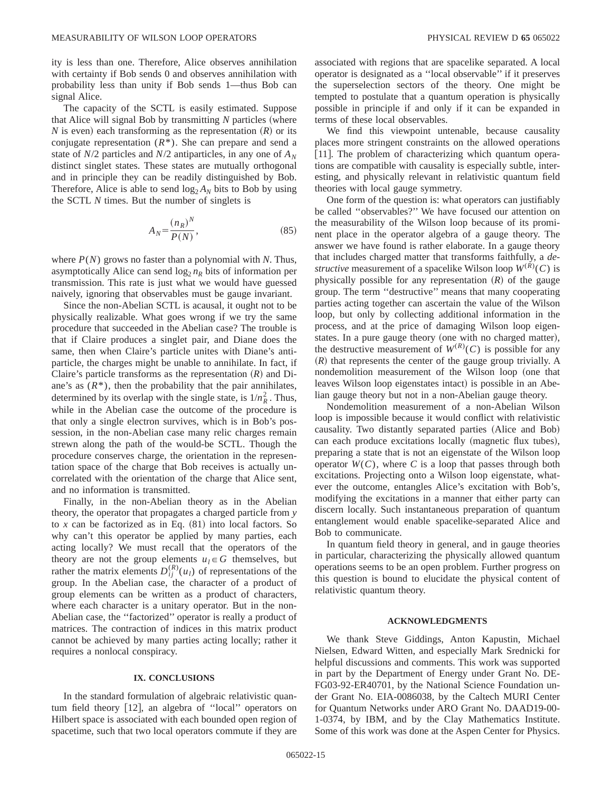ity is less than one. Therefore, Alice observes annihilation with certainty if Bob sends 0 and observes annihilation with probability less than unity if Bob sends 1—thus Bob can signal Alice.

The capacity of the SCTL is easily estimated. Suppose that Alice will signal Bob by transmitting  $N$  particles (where *N* is even) each transforming as the representation  $(R)$  or its conjugate representation (*R*\*). She can prepare and send a state of  $N/2$  particles and  $N/2$  antiparticles, in any one of  $A_N$ distinct singlet states. These states are mutually orthogonal and in principle they can be readily distinguished by Bob. Therefore, Alice is able to send  $\log_2 A_N$  bits to Bob by using the SCTL *N* times. But the number of singlets is

$$
A_N = \frac{(n_R)^N}{P(N)},\tag{85}
$$

where *P*(*N*) grows no faster than a polynomial with *N*. Thus, asymptotically Alice can send  $\log_2 n_R$  bits of information per transmission. This rate is just what we would have guessed naively, ignoring that observables must be gauge invariant.

Since the non-Abelian SCTL is acausal, it ought not to be physically realizable. What goes wrong if we try the same procedure that succeeded in the Abelian case? The trouble is that if Claire produces a singlet pair, and Diane does the same, then when Claire's particle unites with Diane's antiparticle, the charges might be unable to annihilate. In fact, if Claire's particle transforms as the representation  $(R)$  and Diane's as  $(R^*)$ , then the probability that the pair annihilates, determined by its overlap with the single state, is  $1/n_R^2$ . Thus, while in the Abelian case the outcome of the procedure is that only a single electron survives, which is in Bob's possession, in the non-Abelian case many relic charges remain strewn along the path of the would-be SCTL. Though the procedure conserves charge, the orientation in the representation space of the charge that Bob receives is actually uncorrelated with the orientation of the charge that Alice sent, and no information is transmitted.

Finally, in the non-Abelian theory as in the Abelian theory, the operator that propagates a charged particle from *y* to x can be factorized as in Eq.  $(81)$  into local factors. So why can't this operator be applied by many parties, each acting locally? We must recall that the operators of the theory are not the group elements  $u_l \in G$  themselves, but rather the matrix elements  $D_{ij}^{(R)}(u_l)$  of representations of the group. In the Abelian case, the character of a product of group elements can be written as a product of characters, where each character is a unitary operator. But in the non-Abelian case, the ''factorized'' operator is really a product of matrices. The contraction of indices in this matrix product cannot be achieved by many parties acting locally; rather it requires a nonlocal conspiracy.

#### **IX. CONCLUSIONS**

In the standard formulation of algebraic relativistic quantum field theory  $[12]$ , an algebra of "local" operators on Hilbert space is associated with each bounded open region of spacetime, such that two local operators commute if they are associated with regions that are spacelike separated. A local operator is designated as a ''local observable'' if it preserves the superselection sectors of the theory. One might be tempted to postulate that a quantum operation is physically possible in principle if and only if it can be expanded in terms of these local observables.

We find this viewpoint untenable, because causality places more stringent constraints on the allowed operations [11]. The problem of characterizing which quantum operations are compatible with causality is especially subtle, interesting, and physically relevant in relativistic quantum field theories with local gauge symmetry.

One form of the question is: what operators can justifiably be called ''observables?'' We have focused our attention on the measurability of the Wilson loop because of its prominent place in the operator algebra of a gauge theory. The answer we have found is rather elaborate. In a gauge theory that includes charged matter that transforms faithfully, a *destructive* measurement of a spacelike Wilson loop  $W^{(R)}(C)$  is physically possible for any representation  $(R)$  of the gauge group. The term ''destructive'' means that many cooperating parties acting together can ascertain the value of the Wilson loop, but only by collecting additional information in the process, and at the price of damaging Wilson loop eigenstates. In a pure gauge theory (one with no charged matter), the destructive measurement of  $W^{(R)}(C)$  is possible for any  $(R)$  that represents the center of the gauge group trivially. A nondemolition measurement of the Wilson loop (one that leaves Wilson loop eigenstates intact) is possible in an Abelian gauge theory but not in a non-Abelian gauge theory.

Nondemolition measurement of a non-Abelian Wilson loop is impossible because it would conflict with relativistic causality. Two distantly separated parties (Alice and Bob) can each produce excitations locally (magnetic flux tubes), preparing a state that is not an eigenstate of the Wilson loop operator  $W(C)$ , where *C* is a loop that passes through both excitations. Projecting onto a Wilson loop eigenstate, whatever the outcome, entangles Alice's excitation with Bob's, modifying the excitations in a manner that either party can discern locally. Such instantaneous preparation of quantum entanglement would enable spacelike-separated Alice and Bob to communicate.

In quantum field theory in general, and in gauge theories in particular, characterizing the physically allowed quantum operations seems to be an open problem. Further progress on this question is bound to elucidate the physical content of relativistic quantum theory.

#### **ACKNOWLEDGMENTS**

We thank Steve Giddings, Anton Kapustin, Michael Nielsen, Edward Witten, and especially Mark Srednicki for helpful discussions and comments. This work was supported in part by the Department of Energy under Grant No. DE-FG03-92-ER40701, by the National Science Foundation under Grant No. EIA-0086038, by the Caltech MURI Center for Quantum Networks under ARO Grant No. DAAD19-00- 1-0374, by IBM, and by the Clay Mathematics Institute. Some of this work was done at the Aspen Center for Physics.